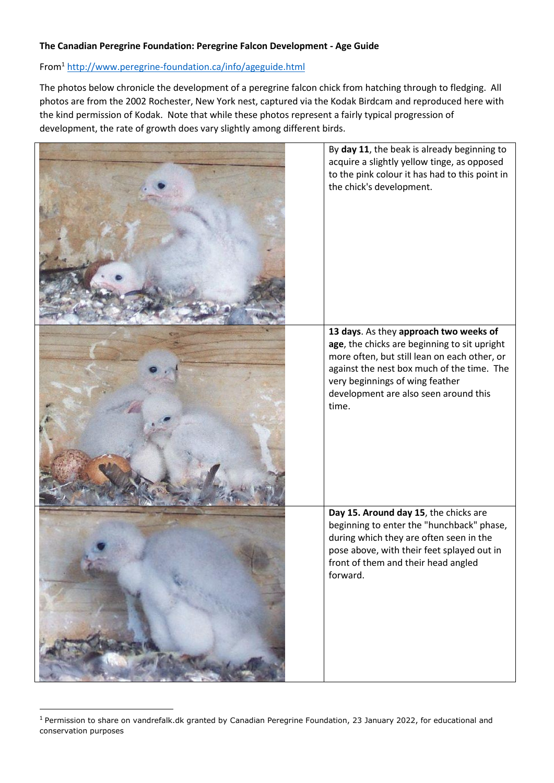## **The Canadian Peregrine Foundation: Peregrine Falcon Development - Age Guide**

## From<sup>1</sup> <http://www.peregrine-foundation.ca/info/ageguide.html>

The photos below chronicle the development of a peregrine falcon chick from hatching through to fledging. All photos are from the 2002 Rochester, New York nest, captured via the Kodak Birdcam and reproduced here with the kind permission of Kodak. Note that while these photos represent a fairly typical progression of development, the rate of growth does vary slightly among different birds.



 $1$  Permission to share on vandrefalk.dk granted by Canadian Peregrine Foundation, 23 January 2022, for educational and conservation purposes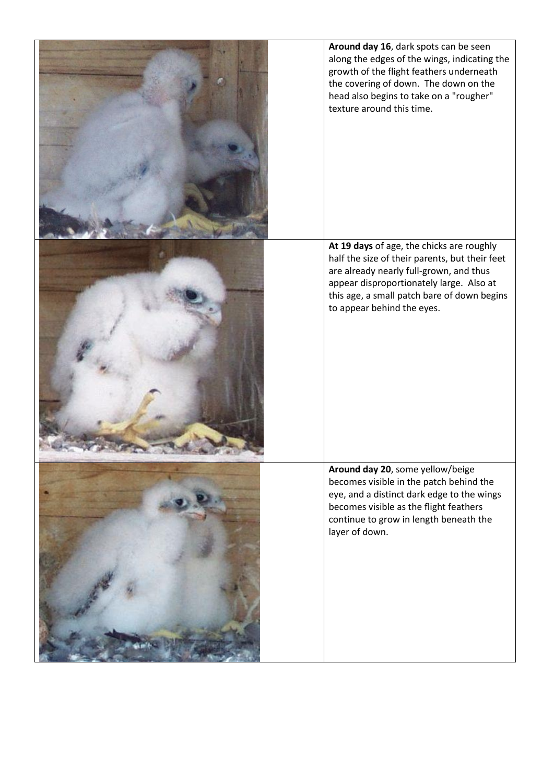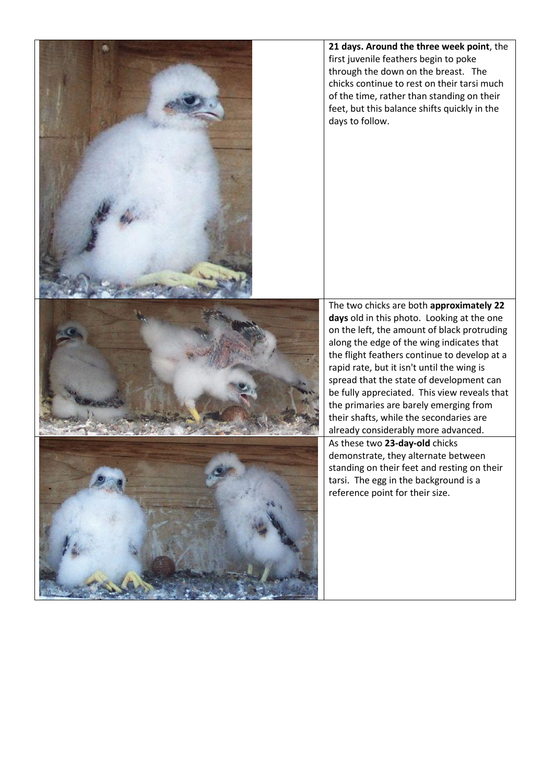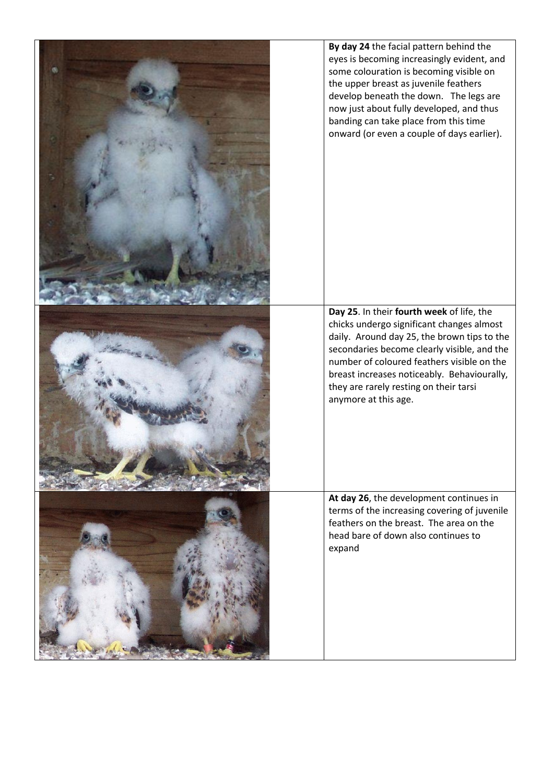| By day 24 the facial pattern behind the<br>eyes is becoming increasingly evident, and<br>some colouration is becoming visible on<br>the upper breast as juvenile feathers<br>develop beneath the down. The legs are<br>now just about fully developed, and thus<br>banding can take place from this time<br>onward (or even a couple of days earlier). |
|--------------------------------------------------------------------------------------------------------------------------------------------------------------------------------------------------------------------------------------------------------------------------------------------------------------------------------------------------------|
| Day 25. In their fourth week of life, the<br>chicks undergo significant changes almost<br>daily. Around day 25, the brown tips to the<br>secondaries become clearly visible, and the<br>number of coloured feathers visible on the<br>breast increases noticeably. Behaviourally,<br>they are rarely resting on their tarsi<br>anymore at this age.    |
| At day 26, the development continues in<br>terms of the increasing covering of juvenile<br>feathers on the breast. The area on the<br>head bare of down also continues to<br>expand                                                                                                                                                                    |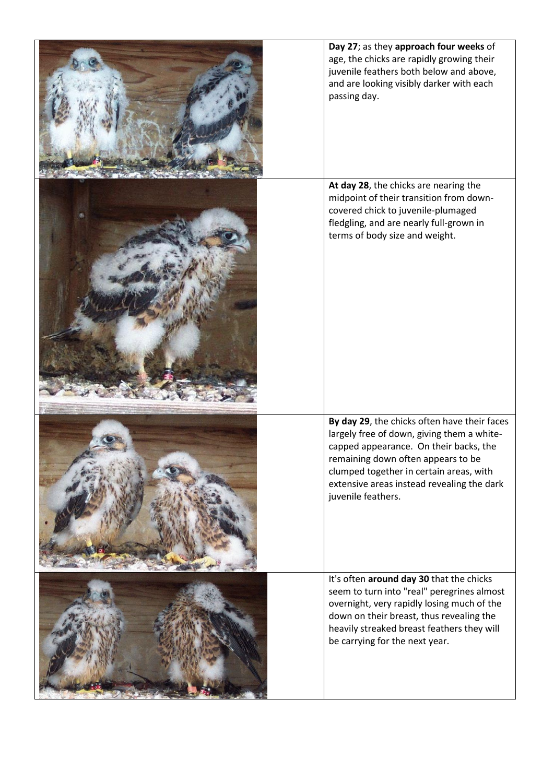| Day 27; as they approach four weeks of<br>age, the chicks are rapidly growing their<br>juvenile feathers both below and above,<br>and are looking visibly darker with each<br>passing day.                                                                                                |
|-------------------------------------------------------------------------------------------------------------------------------------------------------------------------------------------------------------------------------------------------------------------------------------------|
| At day 28, the chicks are nearing the<br>midpoint of their transition from down-<br>covered chick to juvenile-plumaged<br>fledgling, and are nearly full-grown in<br>terms of body size and weight.                                                                                       |
| By day 29, the chicks often have their faces<br>largely free of down, giving them a white-<br>capped appearance. On their backs, the<br>remaining down often appears to be<br>clumped together in certain areas, with<br>extensive areas instead revealing the dark<br>juvenile feathers. |
| It's often around day 30 that the chicks<br>seem to turn into "real" peregrines almost<br>overnight, very rapidly losing much of the<br>down on their breast, thus revealing the<br>heavily streaked breast feathers they will<br>be carrying for the next year.                          |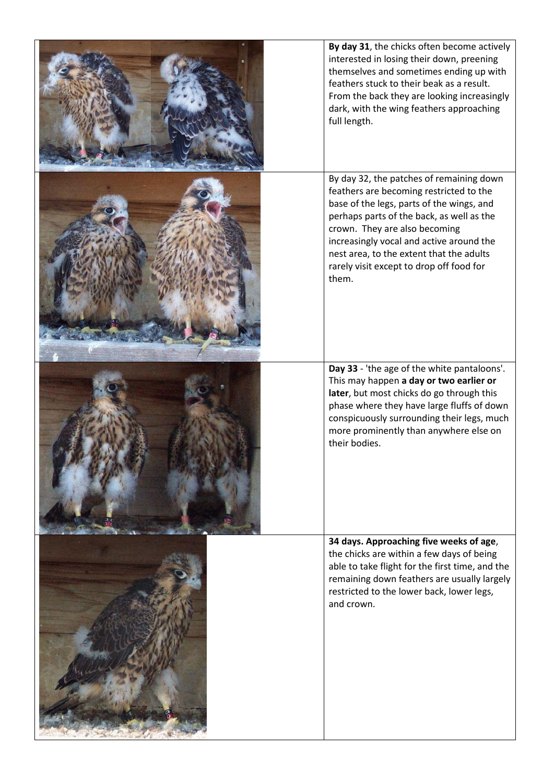| By day 31, the chicks often become actively<br>interested in losing their down, preening<br>themselves and sometimes ending up with<br>feathers stuck to their beak as a result.<br>From the back they are looking increasingly<br>dark, with the wing feathers approaching<br>full length.                                                                 |
|-------------------------------------------------------------------------------------------------------------------------------------------------------------------------------------------------------------------------------------------------------------------------------------------------------------------------------------------------------------|
| By day 32, the patches of remaining down<br>feathers are becoming restricted to the<br>base of the legs, parts of the wings, and<br>perhaps parts of the back, as well as the<br>crown. They are also becoming<br>increasingly vocal and active around the<br>nest area, to the extent that the adults<br>rarely visit except to drop off food for<br>them. |
| Day 33 - 'the age of the white pantaloons'.<br>This may happen a day or two earlier or<br>later, but most chicks do go through this<br>phase where they have large fluffs of down<br>conspicuously surrounding their legs, much<br>more prominently than anywhere else on<br>their bodies.                                                                  |
| 34 days. Approaching five weeks of age,<br>the chicks are within a few days of being<br>able to take flight for the first time, and the<br>remaining down feathers are usually largely<br>restricted to the lower back, lower legs,<br>and crown.                                                                                                           |